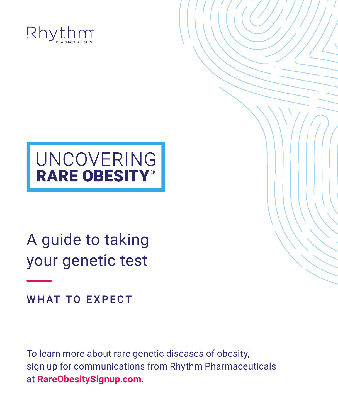

# UNCOVERING<br>RARE OBESITY®

A guide to taking your genetic test

WHAT TO EXPECT

To learn more about rare genetic diseases of obesity, sign up for communications from Rhythm Pharmaceuticals at **[RareObesitySignup.com](https://rareobesitysignup.com/)**.

ć.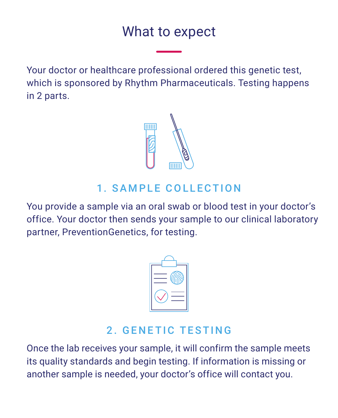### What to expect What to expect

Your doctor or healthcare professional ordered this genetic test, Your doctor or healthcare professional ordered this genetic test, which is sponsored by Rhythm Pharmaceuticals. Testing happens which is sponsored by Rhythm Pharmaceuticals. Testing happens in 2 parts. in 2 parts.



#### 1. SAMPLE COLLECTION 1. SAMPLE COLLECTION

You provide a sample via an oral swab or blood test in your doctor's You provide a sample via an oral swab or blood test in your doctor's office. Your doctor then sends your sample to our clinical laboratory office. Your doctor then sends your sample to our clinical laboratory partner, PreventionGenetics, for testing. partner, PreventionGenetics, for testing.



#### 2. GENETIC TESTING 2. GENETIC TESTING

Once the lab receives your sample, it will confirm the sample meets Once the lab receives your sample, it will confirm the sample meets its quality standards and begin testing. If information is missing or its quality standards and begin testing. If information is missing or another sample is needed, your doctor's office will contact you. another sample is needed, your doctor's office will contact you.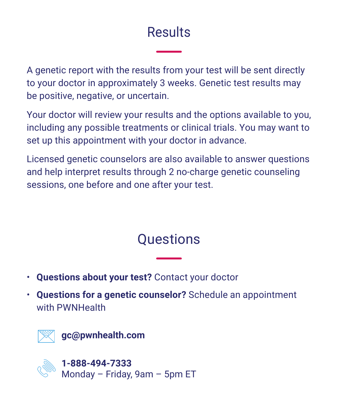## Results Results

A genetic report with the results from your test will be sent directly A genetic report with the results from your test will be sent directly to your doctor in approximately 3 weeks. Genetic test results may to your doctor in approximately 3 weeks. Genetic test results may be positive, negative, or uncertain. be positive, negative, or uncertain.

Your doctor will review your results and the options available to you, Your doctor will review your results and the options available to you, including any possible treatments or clinical trials. You may want to including any possible treatments or clinical trials. You may want to set up this appointment with your doctor in advance. set up this appointment with your doctor in advance.

Licensed genetic counselors are also available to answer questions Licensed genetic counselors are also available to answer questions and help interpret results through 2 no-charge genetic counseling and help interpret results through 2 no-charge genetic counseling sessions, one before and one after your test. sessions, one before and one after your test.

## Questions Questions

- **Questions about your test?** Contact your doctor **Questions about your test?** Contact your doctor
- **Questions for a genetic counselor?** Schedule an appointment **Questions for a genetic counselor?** Schedule an appointment with PWNHealth with PWNHealth



**1-888-494-7333 [1-888-494-7333](tel:18884947333)**  $\, \stackrel{\sim}{\circ} \, ^\circ \,$  Monday – Friday, 9am – 5pm ET